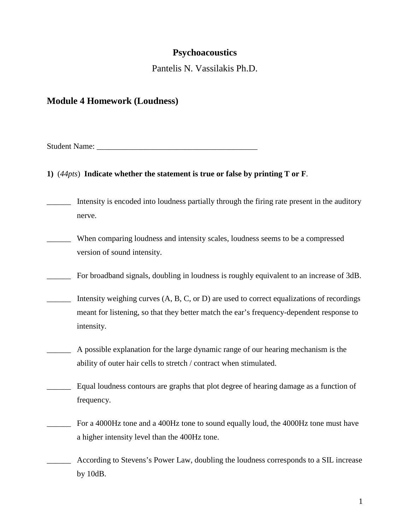# **Psychoacoustics**

Pantelis N. Vassilakis Ph.D.

# **Module 4 Homework (Loudness)**

Student Name:

## **1)** (*44pts*) **Indicate whether the statement is true or false by printing T or F**.

- \_\_\_\_\_\_ Intensity is encoded into loudness partially through the firing rate present in the auditory nerve.
- \_\_\_\_\_\_ When comparing loudness and intensity scales, loudness seems to be a compressed version of sound intensity.
- \_\_\_\_\_\_ For broadband signals, doubling in loudness is roughly equivalent to an increase of 3dB.
- Intensity weighing curves  $(A, B, C, or D)$  are used to correct equalizations of recordings meant for listening, so that they better match the ear's frequency-dependent response to intensity.
- \_\_\_\_\_\_ A possible explanation for the large dynamic range of our hearing mechanism is the ability of outer hair cells to stretch / contract when stimulated.
- \_\_\_\_\_\_ Equal loudness contours are graphs that plot degree of hearing damage as a function of frequency.
- \_\_\_\_\_\_ For a 4000Hz tone and a 400Hz tone to sound equally loud, the 4000Hz tone must have a higher intensity level than the 400Hz tone.
- \_\_\_\_\_\_ According to Stevens's Power Law, doubling the loudness corresponds to a SIL increase by 10dB.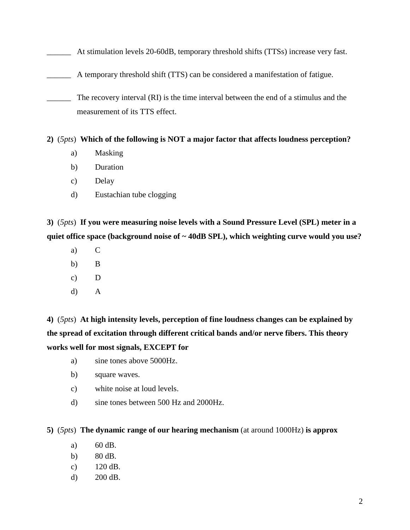\_\_\_\_\_\_ At stimulation levels 20-60dB, temporary threshold shifts (TTSs) increase very fast.

A temporary threshold shift (TTS) can be considered a manifestation of fatigue.

\_\_\_\_\_\_ The recovery interval (RI) is the time interval between the end of a stimulus and the measurement of its TTS effect.

## **2)** (*5pts*) **Which of the following is NOT a major factor that affects loudness perception?**

- a) Masking
- b) Duration
- c) Delay
- d) Eustachian tube clogging

**3)** (*5pts*) **If you were measuring noise levels with a Sound Pressure Level (SPL) meter in a quiet office space (background noise of ~ 40dB SPL), which weighting curve would you use?**

- a) C
- b) B
- c) D
- d) A

**4)** (*5pts*) **At high intensity levels, perception of fine loudness changes can be explained by the spread of excitation through different critical bands and/or nerve fibers. This theory works well for most signals, EXCEPT for**

- a) sine tones above 5000Hz.
- b) square waves.
- c) white noise at loud levels.
- d) sine tones between 500 Hz and 2000Hz.

#### **5)** (*5pts*) **The dynamic range of our hearing mechanism** (at around 1000Hz) **is approx**

- a) 60 dB.
- b) 80 dB.
- c) 120 dB.
- d) 200 dB.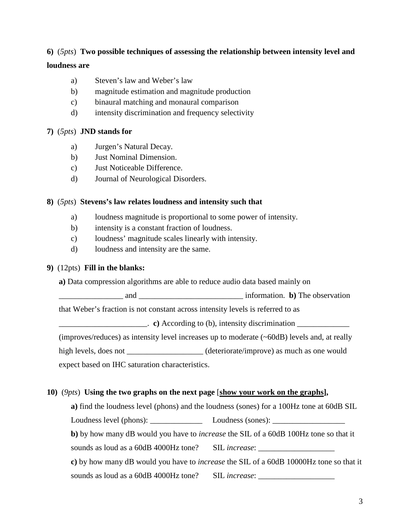## **6)** (*5pts*) **Two possible techniques of assessing the relationship between intensity level and**

### **loudness are**

- a) Steven's law and Weber's law
- b) magnitude estimation and magnitude production
- c) binaural matching and monaural comparison
- d) intensity discrimination and frequency selectivity

## **7)** (*5pts*) **JND stands for**

- a) Jurgen's Natural Decay.
- b) Just Nominal Dimension.
- c) Just Noticeable Difference.
- d) Journal of Neurological Disorders.

## **8)** (*5pts*) **Stevens's law relates loudness and intensity such that**

- a) loudness magnitude is proportional to some power of intensity.
- b) intensity is a constant fraction of loudness.
- c) loudness' magnitude scales linearly with intensity.
- d) loudness and intensity are the same.

## **9)** (12pts) **Fill in the blanks:**

**a)** Data compression algorithms are able to reduce audio data based mainly on

and and  $\blacksquare$  and  $\blacksquare$  information. **b**) The observation

that Weber's fraction is not constant across intensity levels is referred to as

\_\_\_\_\_\_\_\_\_\_\_\_\_\_\_\_\_\_\_\_\_\_. **c)** According to (b), intensity discrimination \_\_\_\_\_\_\_\_\_\_\_\_\_

(improves/reduces) as intensity level increases up to moderate (~60dB) levels and, at really

high levels, does not deteriorate/improve) as much as one would

expect based on IHC saturation characteristics.

## **10)** (*9pts*) **Using the two graphs on the next page** [**show your work on the graphs ],**

**a**) find the loudness level (phons) and the loudness (sones) for a 100Hz tone at 60dB SIL

Loudness level (phons): <br> Loudness (sones):

**b)** by how many dB would you have to *increase* the SIL of a 60dB 100Hz tone so that it

sounds as loud as a 60dB 4000Hz tone? SIL *increase*:

**c)** by how many dB would you have to *increase* the SIL of a 60dB 10000Hz tone so that it sounds as loud as a 60dB 4000Hz tone? SIL *increase*: